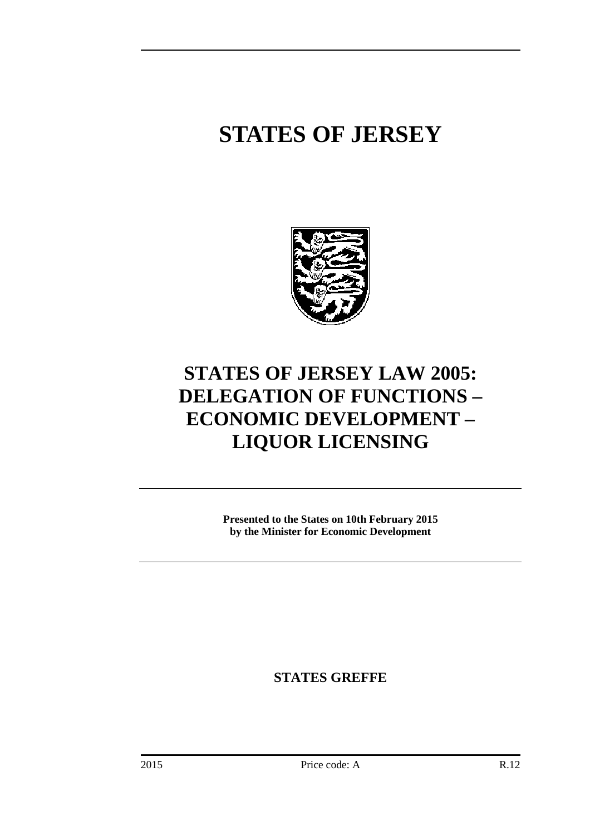## **STATES OF JERSEY**



## **STATES OF JERSEY LAW 2005: DELEGATION OF FUNCTIONS – ECONOMIC DEVELOPMENT – LIQUOR LICENSING**

**Presented to the States on 10th February 2015 by the Minister for Economic Development** 

**STATES GREFFE**